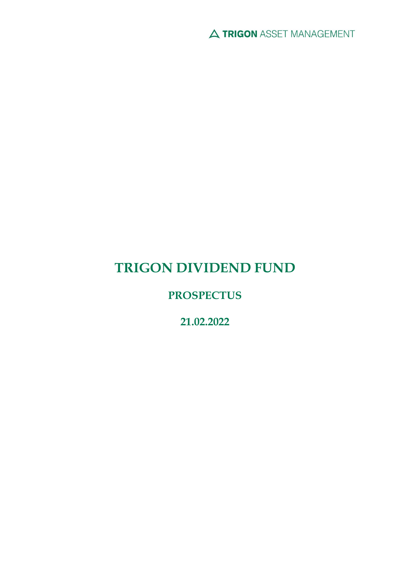A TRIGON ASSET MANAGEMENT

# TRIGON DIVIDEND FUND

## **PROSPECTUS**

21.02.2022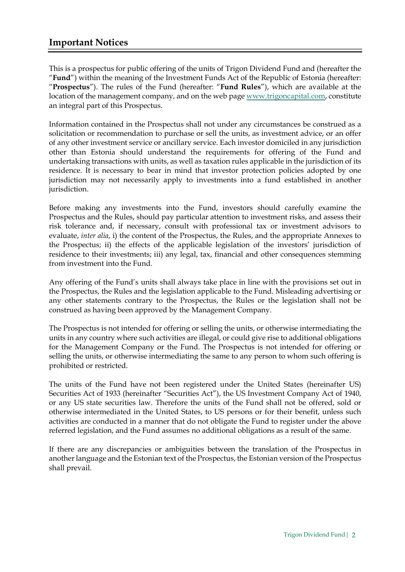## Important Notices

This is a prospectus for public offering of the units of Trigon Dividend Fund and (hereafter the "Fund") within the meaning of the Investment Funds Act of the Republic of Estonia (hereafter: "Prospectus"). The rules of the Fund (hereafter: "Fund Rules"), which are available at the location of the management company, and on the web page www.trigoncapital.com, constitute an integral part of this Prospectus.

Information contained in the Prospectus shall not under any circumstances be construed as a solicitation or recommendation to purchase or sell the units, as investment advice, or an offer of any other investment service or ancillary service. Each investor domiciled in any jurisdiction other than Estonia should understand the requirements for offering of the Fund and undertaking transactions with units, as well as taxation rules applicable in the jurisdiction of its residence. It is necessary to bear in mind that investor protection policies adopted by one jurisdiction may not necessarily apply to investments into a fund established in another jurisdiction.

Before making any investments into the Fund, investors should carefully examine the Prospectus and the Rules, should pay particular attention to investment risks, and assess their risk tolerance and, if necessary, consult with professional tax or investment advisors to evaluate, inter alia, i) the content of the Prospectus, the Rules, and the appropriate Annexes to the Prospectus; ii) the effects of the applicable legislation of the investors' jurisdiction of residence to their investments; iii) any legal, tax, financial and other consequences stemming from investment into the Fund.

Any offering of the Fund's units shall always take place in line with the provisions set out in the Prospectus, the Rules and the legislation applicable to the Fund. Misleading advertising or any other statements contrary to the Prospectus, the Rules or the legislation shall not be construed as having been approved by the Management Company.

The Prospectus is not intended for offering or selling the units, or otherwise intermediating the units in any country where such activities are illegal, or could give rise to additional obligations for the Management Company or the Fund. The Prospectus is not intended for offering or selling the units, or otherwise intermediating the same to any person to whom such offering is prohibited or restricted.

The units of the Fund have not been registered under the United States (hereinafter US) Securities Act of 1933 (hereinafter "Securities Act"), the US Investment Company Act of 1940, or any US state securities law. Therefore the units of the Fund shall not be offered, sold or otherwise intermediated in the United States, to US persons or for their benefit, unless such activities are conducted in a manner that do not obligate the Fund to register under the above referred legislation, and the Fund assumes no additional obligations as a result of the same.

If there are any discrepancies or ambiguities between the translation of the Prospectus in another language and the Estonian text of the Prospectus, the Estonian version of the Prospectus shall prevail.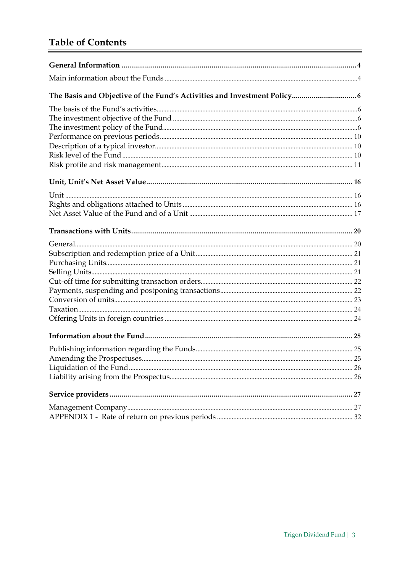## **Table of Contents**

| $\label{eq:1} \textbf{Description of a typical investor} \textcolor{black}{} \textcolor{black}{} \textcolor{black}{} \textcolor{black}{} \textcolor{black}{} \textcolor{black}{} \textcolor{black}{} \textcolor{black}{} \textcolor{black}{} \textcolor{black}{} \textcolor{black}{} \textcolor{black}{} \textcolor{black}{} \textcolor{black}{} \textcolor{black}{} \textcolor{black}{} \textcolor{black}{} \textcolor{black}{} \textcolor{black}{} \textcolor{black}{} \textcolor{black}{} \textcolor{black}{} \textcolor{black}{} \textcolor{black}{} \textcolor{black}{} \textcolor$ |  |
|------------------------------------------------------------------------------------------------------------------------------------------------------------------------------------------------------------------------------------------------------------------------------------------------------------------------------------------------------------------------------------------------------------------------------------------------------------------------------------------------------------------------------------------------------------------------------------------|--|
|                                                                                                                                                                                                                                                                                                                                                                                                                                                                                                                                                                                          |  |
|                                                                                                                                                                                                                                                                                                                                                                                                                                                                                                                                                                                          |  |
|                                                                                                                                                                                                                                                                                                                                                                                                                                                                                                                                                                                          |  |
|                                                                                                                                                                                                                                                                                                                                                                                                                                                                                                                                                                                          |  |
|                                                                                                                                                                                                                                                                                                                                                                                                                                                                                                                                                                                          |  |
|                                                                                                                                                                                                                                                                                                                                                                                                                                                                                                                                                                                          |  |
|                                                                                                                                                                                                                                                                                                                                                                                                                                                                                                                                                                                          |  |
|                                                                                                                                                                                                                                                                                                                                                                                                                                                                                                                                                                                          |  |
|                                                                                                                                                                                                                                                                                                                                                                                                                                                                                                                                                                                          |  |
|                                                                                                                                                                                                                                                                                                                                                                                                                                                                                                                                                                                          |  |
|                                                                                                                                                                                                                                                                                                                                                                                                                                                                                                                                                                                          |  |
|                                                                                                                                                                                                                                                                                                                                                                                                                                                                                                                                                                                          |  |
|                                                                                                                                                                                                                                                                                                                                                                                                                                                                                                                                                                                          |  |
|                                                                                                                                                                                                                                                                                                                                                                                                                                                                                                                                                                                          |  |
|                                                                                                                                                                                                                                                                                                                                                                                                                                                                                                                                                                                          |  |
|                                                                                                                                                                                                                                                                                                                                                                                                                                                                                                                                                                                          |  |
|                                                                                                                                                                                                                                                                                                                                                                                                                                                                                                                                                                                          |  |
|                                                                                                                                                                                                                                                                                                                                                                                                                                                                                                                                                                                          |  |
|                                                                                                                                                                                                                                                                                                                                                                                                                                                                                                                                                                                          |  |
|                                                                                                                                                                                                                                                                                                                                                                                                                                                                                                                                                                                          |  |
|                                                                                                                                                                                                                                                                                                                                                                                                                                                                                                                                                                                          |  |
|                                                                                                                                                                                                                                                                                                                                                                                                                                                                                                                                                                                          |  |
|                                                                                                                                                                                                                                                                                                                                                                                                                                                                                                                                                                                          |  |
|                                                                                                                                                                                                                                                                                                                                                                                                                                                                                                                                                                                          |  |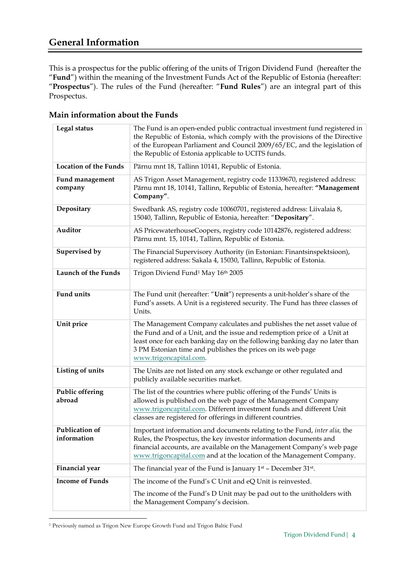## General Information

This is a prospectus for the public offering of the units of Trigon Dividend Fund (hereafter the "Fund") within the meaning of the Investment Funds Act of the Republic of Estonia (hereafter: "Prospectus"). The rules of the Fund (hereafter: "Fund Rules") are an integral part of this Prospectus.

| Legal status                  | The Fund is an open-ended public contractual investment fund registered in<br>the Republic of Estonia, which comply with the provisions of the Directive<br>of the European Parliament and Council 2009/65/EC, and the legislation of<br>the Republic of Estonia applicable to UCITS funds.                              |
|-------------------------------|--------------------------------------------------------------------------------------------------------------------------------------------------------------------------------------------------------------------------------------------------------------------------------------------------------------------------|
| <b>Location of the Funds</b>  | Pärnu mnt 18, Tallinn 10141, Republic of Estonia.                                                                                                                                                                                                                                                                        |
| Fund management<br>company    | AS Trigon Asset Management, registry code 11339670, registered address:<br>Pärnu mnt 18, 10141, Tallinn, Republic of Estonia, hereafter: "Management<br>Company".                                                                                                                                                        |
| Depositary                    | Swedbank AS, registry code 10060701, registered address: Liivalaia 8,<br>15040, Tallinn, Republic of Estonia, hereafter: "Depositary".                                                                                                                                                                                   |
| Auditor                       | AS PricewaterhouseCoopers, registry code 10142876, registered address:<br>Pärnu mnt. 15, 10141, Tallinn, Republic of Estonia.                                                                                                                                                                                            |
| Supervised by                 | The Financial Supervisory Authority (in Estonian: Finantsinspektsioon),<br>registered address: Sakala 4, 15030, Tallinn, Republic of Estonia.                                                                                                                                                                            |
| <b>Launch of the Funds</b>    | Trigon Diviend Fund <sup>1</sup> May 16th 2005                                                                                                                                                                                                                                                                           |
| <b>Fund units</b>             | The Fund unit (hereafter: "Unit") represents a unit-holder's share of the<br>Fund's assets. A Unit is a registered security. The Fund has three classes of<br>Units.                                                                                                                                                     |
| Unit price                    | The Management Company calculates and publishes the net asset value of<br>the Fund and of a Unit, and the issue and redemption price of a Unit at<br>least once for each banking day on the following banking day no later than<br>3 PM Estonian time and publishes the prices on its web page<br>www.trigoncapital.com. |
| Listing of units              | The Units are not listed on any stock exchange or other regulated and<br>publicly available securities market.                                                                                                                                                                                                           |
| Public offering<br>abroad     | The list of the countries where public offering of the Funds' Units is<br>allowed is published on the web page of the Management Company<br>www.trigoncapital.com. Different investment funds and different Unit<br>classes are registered for offerings in different countries.                                         |
| Publication of<br>information | Important information and documents relating to the Fund, inter alia, the<br>Rules, the Prospectus, the key investor information documents and<br>financial accounts, are available on the Management Company's web page<br>www.trigoncapital.com and at the location of the Management Company.                         |
| <b>Financial</b> year         | The financial year of the Fund is January $1st$ – December 31 <sup>st</sup> .                                                                                                                                                                                                                                            |
| <b>Income of Funds</b>        | The income of the Fund's C Unit and eQ Unit is reinvested.                                                                                                                                                                                                                                                               |
|                               | The income of the Fund's D Unit may be pad out to the unitholders with<br>the Management Company's decision.                                                                                                                                                                                                             |

Main information about the Funds

<sup>1</sup> Previously named as Trigon New Europe Growth Fund and Trigon Baltic Fund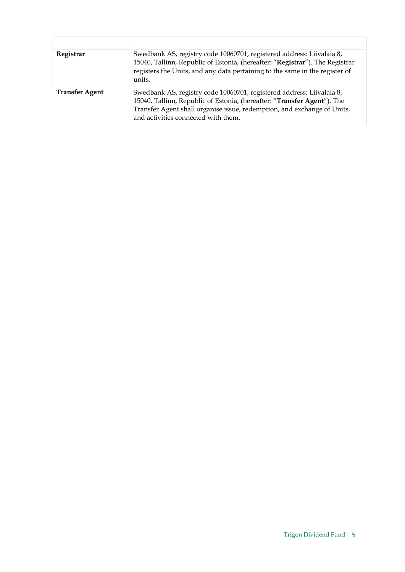| Registrar             | Swedbank AS, registry code 10060701, registered address: Liivalaia 8,<br>15040, Tallinn, Republic of Estonia, (hereafter: "Registrar"). The Registrar<br>registers the Units, and any data pertaining to the same in the register of<br>units.                     |
|-----------------------|--------------------------------------------------------------------------------------------------------------------------------------------------------------------------------------------------------------------------------------------------------------------|
| <b>Transfer Agent</b> | Swedbank AS, registry code 10060701, registered address: Liivalaia 8,<br>15040, Tallinn, Republic of Estonia, (hereafter: "Transfer Agent"). The<br>Transfer Agent shall organise issue, redemption, and exchange of Units,<br>and activities connected with them. |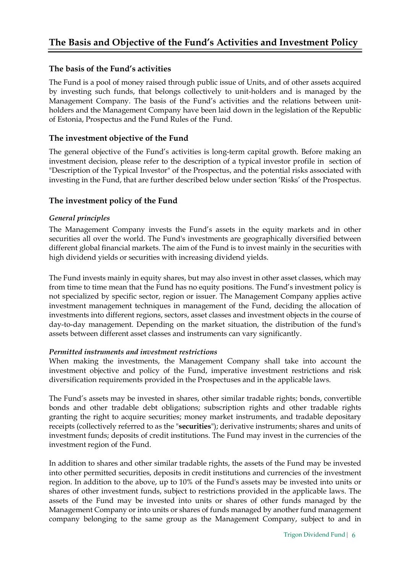#### The basis of the Fund's activities

The Fund is a pool of money raised through public issue of Units, and of other assets acquired by investing such funds, that belongs collectively to unit-holders and is managed by the Management Company. The basis of the Fund's activities and the relations between unitholders and the Management Company have been laid down in the legislation of the Republic of Estonia, Prospectus and the Fund Rules of the Fund.

#### The investment objective of the Fund

The general objective of the Fund's activities is long-term capital growth. Before making an investment decision, please refer to the description of a typical investor profile in section of "Description of the Typical Investor" of the Prospectus, and the potential risks associated with investing in the Fund, that are further described below under section 'Risks' of the Prospectus.

#### The investment policy of the Fund

#### General principles

The Management Company invests the Fund's assets in the equity markets and in other securities all over the world. The Fund's investments are geographically diversified between different global financial markets. The aim of the Fund is to invest mainly in the securities with high dividend yields or securities with increasing dividend yields.

The Fund invests mainly in equity shares, but may also invest in other asset classes, which may from time to time mean that the Fund has no equity positions. The Fund's investment policy is not specialized by specific sector, region or issuer. The Management Company applies active investment management techniques in management of the Fund, deciding the allocation of investments into different regions, sectors, asset classes and investment objects in the course of day-to-day management. Depending on the market situation, the distribution of the fund's assets between different asset classes and instruments can vary significantly.

#### Permitted instruments and investment restrictions

When making the investments, the Management Company shall take into account the investment objective and policy of the Fund, imperative investment restrictions and risk diversification requirements provided in the Prospectuses and in the applicable laws.

The Fund's assets may be invested in shares, other similar tradable rights; bonds, convertible bonds and other tradable debt obligations; subscription rights and other tradable rights granting the right to acquire securities; money market instruments, and tradable depositary receipts (collectively referred to as the "securities"); derivative instruments; shares and units of investment funds; deposits of credit institutions. The Fund may invest in the currencies of the investment region of the Fund.

In addition to shares and other similar tradable rights, the assets of the Fund may be invested into other permitted securities, deposits in credit institutions and currencies of the investment region. In addition to the above, up to 10% of the Fund's assets may be invested into units or shares of other investment funds, subject to restrictions provided in the applicable laws. The assets of the Fund may be invested into units or shares of other funds managed by the Management Company or into units or shares of funds managed by another fund management company belonging to the same group as the Management Company, subject to and in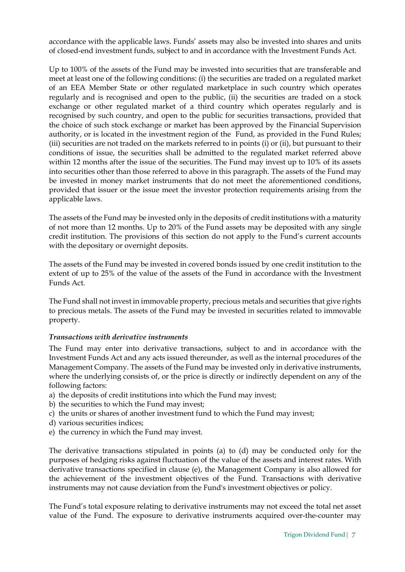accordance with the applicable laws. Funds' assets may also be invested into shares and units of closed-end investment funds, subject to and in accordance with the Investment Funds Act.

Up to 100% of the assets of the Fund may be invested into securities that are transferable and meet at least one of the following conditions: (i) the securities are traded on a regulated market of an EEA Member State or other regulated marketplace in such country which operates regularly and is recognised and open to the public, (ii) the securities are traded on a stock exchange or other regulated market of a third country which operates regularly and is recognised by such country, and open to the public for securities transactions, provided that the choice of such stock exchange or market has been approved by the Financial Supervision authority, or is located in the investment region of the Fund, as provided in the Fund Rules; (iii) securities are not traded on the markets referred to in points (i) or (ii), but pursuant to their conditions of issue, the securities shall be admitted to the regulated market referred above within 12 months after the issue of the securities. The Fund may invest up to 10% of its assets into securities other than those referred to above in this paragraph. The assets of the Fund may be invested in money market instruments that do not meet the aforementioned conditions, provided that issuer or the issue meet the investor protection requirements arising from the applicable laws.

The assets of the Fund may be invested only in the deposits of credit institutions with a maturity of not more than 12 months. Up to 20% of the Fund assets may be deposited with any single credit institution. The provisions of this section do not apply to the Fund's current accounts with the depositary or overnight deposits.

The assets of the Fund may be invested in covered bonds issued by one credit institution to the extent of up to 25% of the value of the assets of the Fund in accordance with the Investment Funds Act.

The Fund shall not invest in immovable property, precious metals and securities that give rights to precious metals. The assets of the Fund may be invested in securities related to immovable property.

#### Transactions with derivative instruments

The Fund may enter into derivative transactions, subject to and in accordance with the Investment Funds Act and any acts issued thereunder, as well as the internal procedures of the Management Company. The assets of the Fund may be invested only in derivative instruments, where the underlying consists of, or the price is directly or indirectly dependent on any of the following factors:

- a) the deposits of credit institutions into which the Fund may invest;
- b) the securities to which the Fund may invest;
- c) the units or shares of another investment fund to which the Fund may invest;
- d) various securities indices;
- e) the currency in which the Fund may invest.

The derivative transactions stipulated in points (a) to (d) may be conducted only for the purposes of hedging risks against fluctuation of the value of the assets and interest rates. With derivative transactions specified in clause (e), the Management Company is also allowed for the achievement of the investment objectives of the Fund. Transactions with derivative instruments may not cause deviation from the Fund's investment objectives or policy.

The Fund's total exposure relating to derivative instruments may not exceed the total net asset value of the Fund. The exposure to derivative instruments acquired over-the-counter may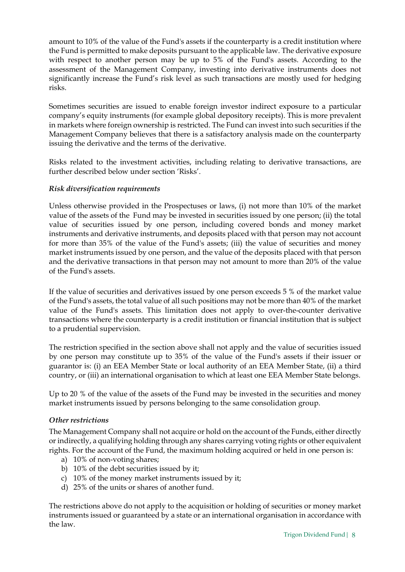amount to 10% of the value of the Fund's assets if the counterparty is a credit institution where the Fund is permitted to make deposits pursuant to the applicable law. The derivative exposure with respect to another person may be up to 5% of the Fund's assets. According to the assessment of the Management Company, investing into derivative instruments does not significantly increase the Fund's risk level as such transactions are mostly used for hedging risks.

Sometimes securities are issued to enable foreign investor indirect exposure to a particular company's equity instruments (for example global depository receipts). This is more prevalent in markets where foreign ownership is restricted. The Fund can invest into such securities if the Management Company believes that there is a satisfactory analysis made on the counterparty issuing the derivative and the terms of the derivative.

Risks related to the investment activities, including relating to derivative transactions, are further described below under section 'Risks'.

#### Risk diversification requirements

Unless otherwise provided in the Prospectuses or laws, (i) not more than 10% of the market value of the assets of the Fund may be invested in securities issued by one person; (ii) the total value of securities issued by one person, including covered bonds and money market instruments and derivative instruments, and deposits placed with that person may not account for more than 35% of the value of the Fund's assets; (iii) the value of securities and money market instruments issued by one person, and the value of the deposits placed with that person and the derivative transactions in that person may not amount to more than 20% of the value of the Fund's assets.

If the value of securities and derivatives issued by one person exceeds 5 % of the market value of the Fund's assets, the total value of all such positions may not be more than 40% of the market value of the Fund's assets. This limitation does not apply to over-the-counter derivative transactions where the counterparty is a credit institution or financial institution that is subject to a prudential supervision.

The restriction specified in the section above shall not apply and the value of securities issued by one person may constitute up to 35% of the value of the Fund's assets if their issuer or guarantor is: (i) an EEA Member State or local authority of an EEA Member State, (ii) a third country, or (iii) an international organisation to which at least one EEA Member State belongs.

Up to 20 % of the value of the assets of the Fund may be invested in the securities and money market instruments issued by persons belonging to the same consolidation group.

#### Other restrictions

The Management Company shall not acquire or hold on the account of the Funds, either directly or indirectly, a qualifying holding through any shares carrying voting rights or other equivalent rights. For the account of the Fund, the maximum holding acquired or held in one person is:

- a) 10% of non-voting shares;
- b) 10% of the debt securities issued by it;
- c) 10% of the money market instruments issued by it;
- d) 25% of the units or shares of another fund.

The restrictions above do not apply to the acquisition or holding of securities or money market instruments issued or guaranteed by a state or an international organisation in accordance with the law.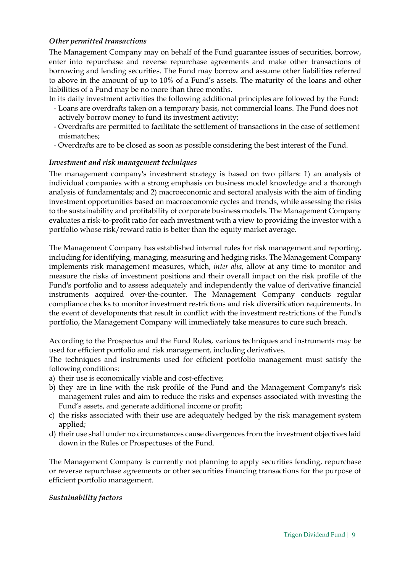#### Other permitted transactions

The Management Company may on behalf of the Fund guarantee issues of securities, borrow, enter into repurchase and reverse repurchase agreements and make other transactions of borrowing and lending securities. The Fund may borrow and assume other liabilities referred to above in the amount of up to 10% of a Fund's assets. The maturity of the loans and other liabilities of a Fund may be no more than three months.

In its daily investment activities the following additional principles are followed by the Fund:

- Loans are overdrafts taken on a temporary basis, not commercial loans. The Fund does not actively borrow money to fund its investment activity;
- Overdrafts are permitted to facilitate the settlement of transactions in the case of settlement mismatches;
- Overdrafts are to be closed as soon as possible considering the best interest of the Fund.

#### Investment and risk management techniques

The management company's investment strategy is based on two pillars: 1) an analysis of individual companies with a strong emphasis on business model knowledge and a thorough analysis of fundamentals; and 2) macroeconomic and sectoral analysis with the aim of finding investment opportunities based on macroeconomic cycles and trends, while assessing the risks to the sustainability and profitability of corporate business models. The Management Company evaluates a risk-to-profit ratio for each investment with a view to providing the investor with a portfolio whose risk/reward ratio is better than the equity market average.

The Management Company has established internal rules for risk management and reporting, including for identifying, managing, measuring and hedging risks. The Management Company implements risk management measures, which, inter alia, allow at any time to monitor and measure the risks of investment positions and their overall impact on the risk profile of the Fund's portfolio and to assess adequately and independently the value of derivative financial instruments acquired over-the-counter. The Management Company conducts regular compliance checks to monitor investment restrictions and risk diversification requirements. In the event of developments that result in conflict with the investment restrictions of the Fund's portfolio, the Management Company will immediately take measures to cure such breach.

According to the Prospectus and the Fund Rules, various techniques and instruments may be used for efficient portfolio and risk management, including derivatives.

The techniques and instruments used for efficient portfolio management must satisfy the following conditions:

- a) their use is economically viable and cost-effective;
- b) they are in line with the risk profile of the Fund and the Management Company's risk management rules and aim to reduce the risks and expenses associated with investing the Fund's assets, and generate additional income or profit;
- c) the risks associated with their use are adequately hedged by the risk management system applied;
- d) their use shall under no circumstances cause divergences from the investment objectives laid down in the Rules or Prospectuses of the Fund.

The Management Company is currently not planning to apply securities lending, repurchase or reverse repurchase agreements or other securities financing transactions for the purpose of efficient portfolio management.

#### Sustainability factors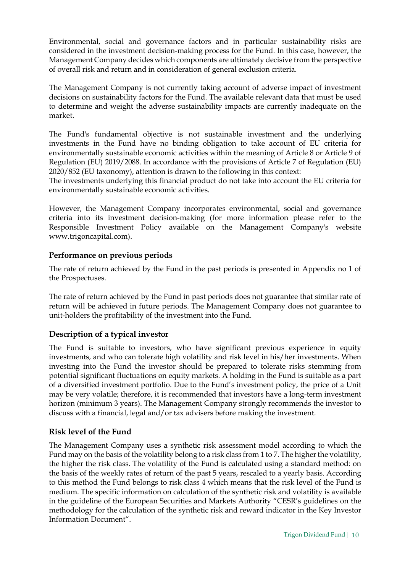Environmental, social and governance factors and in particular sustainability risks are considered in the investment decision-making process for the Fund. In this case, however, the Management Company decides which components are ultimately decisive from the perspective of overall risk and return and in consideration of general exclusion criteria.

The Management Company is not currently taking account of adverse impact of investment decisions on sustainability factors for the Fund. The available relevant data that must be used to determine and weight the adverse sustainability impacts are currently inadequate on the market.

The Fund's fundamental objective is not sustainable investment and the underlying investments in the Fund have no binding obligation to take account of EU criteria for environmentally sustainable economic activities within the meaning of Article 8 or Article 9 of Regulation (EU) 2019/2088. In accordance with the provisions of Article 7 of Regulation (EU) 2020/852 (EU taxonomy), attention is drawn to the following in this context:

The investments underlying this financial product do not take into account the EU criteria for environmentally sustainable economic activities.

However, the Management Company incorporates environmental, social and governance criteria into its investment decision-making (for more information please refer to the Responsible Investment Policy available on the Management Company's website www.trigoncapital.com).

#### Performance on previous periods

The rate of return achieved by the Fund in the past periods is presented in Appendix no 1 of the Prospectuses.

The rate of return achieved by the Fund in past periods does not guarantee that similar rate of return will be achieved in future periods. The Management Company does not guarantee to unit-holders the profitability of the investment into the Fund.

#### Description of a typical investor

The Fund is suitable to investors, who have significant previous experience in equity investments, and who can tolerate high volatility and risk level in his/her investments. When investing into the Fund the investor should be prepared to tolerate risks stemming from potential significant fluctuations on equity markets. A holding in the Fund is suitable as a part of a diversified investment portfolio. Due to the Fund's investment policy, the price of a Unit may be very volatile; therefore, it is recommended that investors have a long-term investment horizon (minimum 3 years). The Management Company strongly recommends the investor to discuss with a financial, legal and/or tax advisers before making the investment.

#### Risk level of the Fund

The Management Company uses a synthetic risk assessment model according to which the Fund may on the basis of the volatility belong to a risk class from 1 to 7. The higher the volatility, the higher the risk class. The volatility of the Fund is calculated using a standard method: on the basis of the weekly rates of return of the past 5 years, rescaled to a yearly basis. According to this method the Fund belongs to risk class 4 which means that the risk level of the Fund is medium. The specific information on calculation of the synthetic risk and volatility is available in the guideline of the European Securities and Markets Authority "CESR's guidelines on the methodology for the calculation of the synthetic risk and reward indicator in the Key Investor Information Document".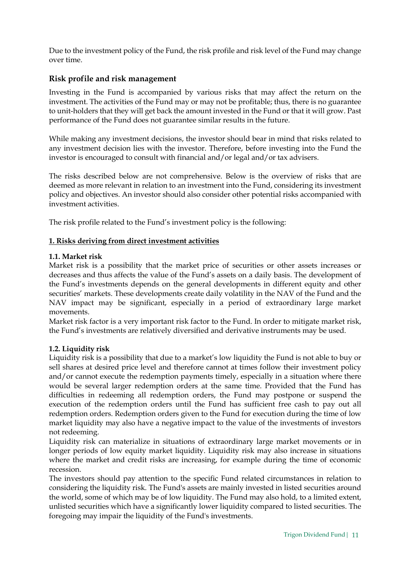Due to the investment policy of the Fund, the risk profile and risk level of the Fund may change over time.

#### Risk profile and risk management

Investing in the Fund is accompanied by various risks that may affect the return on the investment. The activities of the Fund may or may not be profitable; thus, there is no guarantee to unit-holders that they will get back the amount invested in the Fund or that it will grow. Past performance of the Fund does not guarantee similar results in the future.

While making any investment decisions, the investor should bear in mind that risks related to any investment decision lies with the investor. Therefore, before investing into the Fund the investor is encouraged to consult with financial and/or legal and/or tax advisers.

The risks described below are not comprehensive. Below is the overview of risks that are deemed as more relevant in relation to an investment into the Fund, considering its investment policy and objectives. An investor should also consider other potential risks accompanied with investment activities.

The risk profile related to the Fund's investment policy is the following:

#### 1. Risks deriving from direct investment activities

#### 1.1. Market risk

Market risk is a possibility that the market price of securities or other assets increases or decreases and thus affects the value of the Fund's assets on a daily basis. The development of the Fund's investments depends on the general developments in different equity and other securities' markets. These developments create daily volatility in the NAV of the Fund and the NAV impact may be significant, especially in a period of extraordinary large market movements.

Market risk factor is a very important risk factor to the Fund. In order to mitigate market risk, the Fund's investments are relatively diversified and derivative instruments may be used.

#### 1.2. Liquidity risk

Liquidity risk is a possibility that due to a market's low liquidity the Fund is not able to buy or sell shares at desired price level and therefore cannot at times follow their investment policy and/or cannot execute the redemption payments timely, especially in a situation where there would be several larger redemption orders at the same time. Provided that the Fund has difficulties in redeeming all redemption orders, the Fund may postpone or suspend the execution of the redemption orders until the Fund has sufficient free cash to pay out all redemption orders. Redemption orders given to the Fund for execution during the time of low market liquidity may also have a negative impact to the value of the investments of investors not redeeming.

Liquidity risk can materialize in situations of extraordinary large market movements or in longer periods of low equity market liquidity. Liquidity risk may also increase in situations where the market and credit risks are increasing, for example during the time of economic recession.

The investors should pay attention to the specific Fund related circumstances in relation to considering the liquidity risk. The Fund's assets are mainly invested in listed securities around the world, some of which may be of low liquidity. The Fund may also hold, to a limited extent, unlisted securities which have a significantly lower liquidity compared to listed securities. The foregoing may impair the liquidity of the Fund's investments.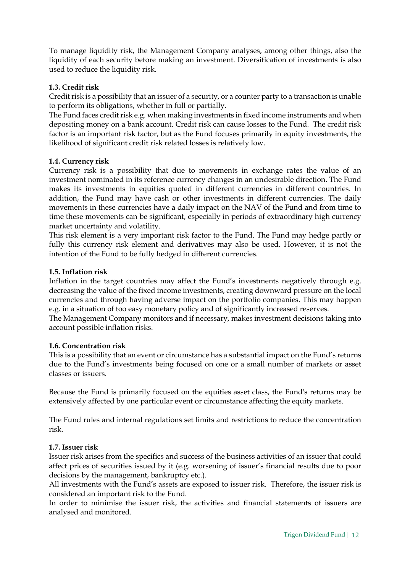To manage liquidity risk, the Management Company analyses, among other things, also the liquidity of each security before making an investment. Diversification of investments is also used to reduce the liquidity risk.

#### 1.3. Credit risk

Credit risk is a possibility that an issuer of a security, or a counter party to a transaction is unable to perform its obligations, whether in full or partially.

The Fund faces credit risk e.g. when making investments in fixed income instruments and when depositing money on a bank account. Credit risk can cause losses to the Fund. The credit risk factor is an important risk factor, but as the Fund focuses primarily in equity investments, the likelihood of significant credit risk related losses is relatively low.

#### 1.4. Currency risk

Currency risk is a possibility that due to movements in exchange rates the value of an investment nominated in its reference currency changes in an undesirable direction. The Fund makes its investments in equities quoted in different currencies in different countries. In addition, the Fund may have cash or other investments in different currencies. The daily movements in these currencies have a daily impact on the NAV of the Fund and from time to time these movements can be significant, especially in periods of extraordinary high currency market uncertainty and volatility.

This risk element is a very important risk factor to the Fund. The Fund may hedge partly or fully this currency risk element and derivatives may also be used. However, it is not the intention of the Fund to be fully hedged in different currencies.

#### 1.5. Inflation risk

Inflation in the target countries may affect the Fund's investments negatively through e.g. decreasing the value of the fixed income investments, creating downward pressure on the local currencies and through having adverse impact on the portfolio companies. This may happen e.g. in a situation of too easy monetary policy and of significantly increased reserves.

The Management Company monitors and if necessary, makes investment decisions taking into account possible inflation risks.

#### 1.6. Concentration risk

This is a possibility that an event or circumstance has a substantial impact on the Fund's returns due to the Fund's investments being focused on one or a small number of markets or asset classes or issuers.

Because the Fund is primarily focused on the equities asset class, the Fund's returns may be extensively affected by one particular event or circumstance affecting the equity markets.

The Fund rules and internal regulations set limits and restrictions to reduce the concentration risk.

#### 1.7. Issuer risk

Issuer risk arises from the specifics and success of the business activities of an issuer that could affect prices of securities issued by it (e.g. worsening of issuer's financial results due to poor decisions by the management, bankruptcy etc.).

All investments with the Fund's assets are exposed to issuer risk. Therefore, the issuer risk is considered an important risk to the Fund.

In order to minimise the issuer risk, the activities and financial statements of issuers are analysed and monitored.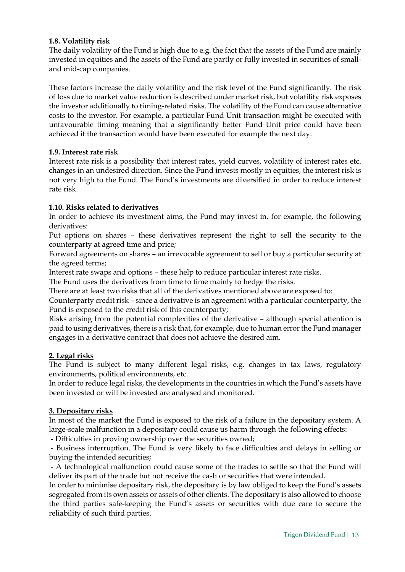#### 1.8. Volatility risk

The daily volatility of the Fund is high due to e.g. the fact that the assets of the Fund are mainly invested in equities and the assets of the Fund are partly or fully invested in securities of smalland mid-cap companies.

These factors increase the daily volatility and the risk level of the Fund significantly. The risk of loss due to market value reduction is described under market risk, but volatility risk exposes the investor additionally to timing-related risks. The volatility of the Fund can cause alternative costs to the investor. For example, a particular Fund Unit transaction might be executed with unfavourable timing meaning that a significantly better Fund Unit price could have been achieved if the transaction would have been executed for example the next day.

#### 1.9. Interest rate risk

Interest rate risk is a possibility that interest rates, yield curves, volatility of interest rates etc. changes in an undesired direction. Since the Fund invests mostly in equities, the interest risk is not very high to the Fund. The Fund's investments are diversified in order to reduce interest rate risk.

#### 1.10. Risks related to derivatives

In order to achieve its investment aims, the Fund may invest in, for example, the following derivatives:

Put options on shares – these derivatives represent the right to sell the security to the counterparty at agreed time and price;

Forward agreements on shares – an irrevocable agreement to sell or buy a particular security at the agreed terms;

Interest rate swaps and options – these help to reduce particular interest rate risks.

The Fund uses the derivatives from time to time mainly to hedge the risks.

There are at least two risks that all of the derivatives mentioned above are exposed to:

Counterparty credit risk – since a derivative is an agreement with a particular counterparty, the Fund is exposed to the credit risk of this counterparty;

Risks arising from the potential complexities of the derivative – although special attention is paid to using derivatives, there is a risk that, for example, due to human error the Fund manager engages in a derivative contract that does not achieve the desired aim.

#### 2. Legal risks

The Fund is subject to many different legal risks, e.g. changes in tax laws, regulatory environments, political environments, etc.

In order to reduce legal risks, the developments in the countries in which the Fund's assets have been invested or will be invested are analysed and monitored.

#### 3. Depositary risks

In most of the market the Fund is exposed to the risk of a failure in the depositary system. A large-scale malfunction in a depositary could cause us harm through the following effects:

- Difficulties in proving ownership over the securities owned;

 - Business interruption. The Fund is very likely to face difficulties and delays in selling or buying the intended securities;

 - A technological malfunction could cause some of the trades to settle so that the Fund will deliver its part of the trade but not receive the cash or securities that were intended.

In order to minimise depositary risk, the depositary is by law obliged to keep the Fund's assets segregated from its own assets or assets of other clients. The depositary is also allowed to choose the third parties safe-keeping the Fund's assets or securities with due care to secure the reliability of such third parties.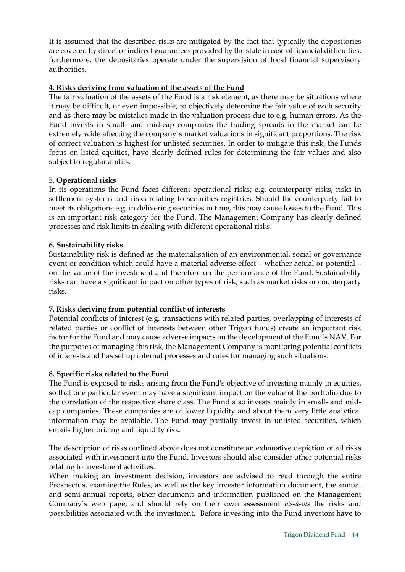It is assumed that the described risks are mitigated by the fact that typically the depositories are covered by direct or indirect guarantees provided by the state in case of financial difficulties, furthermore, the depositaries operate under the supervision of local financial supervisory authorities.

#### 4. Risks deriving from valuation of the assets of the Fund

The fair valuation of the assets of the Fund is a risk element, as there may be situations where it may be difficult, or even impossible, to objectively determine the fair value of each security and as there may be mistakes made in the valuation process due to e.g. human errors. As the Fund invests in small- and mid-cap companies the trading spreads in the market can be extremely wide affecting the company`s market valuations in significant proportions. The risk of correct valuation is highest for unlisted securities. In order to mitigate this risk, the Funds focus on listed equities, have clearly defined rules for determining the fair values and also subject to regular audits.

#### 5. Operational risks

In its operations the Fund faces different operational risks; e.g. counterparty risks, risks in settlement systems and risks relating to securities registries. Should the counterparty fail to meet its obligations e.g. in delivering securities in time, this may cause losses to the Fund. This is an important risk category for the Fund. The Management Company has clearly defined processes and risk limits in dealing with different operational risks.

#### 6. Sustainability risks

Sustainability risk is defined as the materialisation of an environmental, social or governance event or condition which could have a material adverse effect – whether actual or potential – on the value of the investment and therefore on the performance of the Fund. Sustainability risks can have a significant impact on other types of risk, such as market risks or counterparty risks.

#### 7. Risks deriving from potential conflict of interests

Potential conflicts of interest (e.g. transactions with related parties, overlapping of interests of related parties or conflict of interests between other Trigon funds) create an important risk factor for the Fund and may cause adverse impacts on the development of the Fund's NAV. For the purposes of managing this risk, the Management Company is monitoring potential conflicts of interests and has set up internal processes and rules for managing such situations.

#### 8. Specific risks related to the Fund

The Fund is exposed to risks arising from the Fund's objective of investing mainly in equities, so that one particular event may have a significant impact on the value of the portfolio due to the correlation of the respective share class. The Fund also invests mainly in small- and midcap companies. These companies are of lower liquidity and about them very little analytical information may be available. The Fund may partially invest in unlisted securities, which entails higher pricing and liquidity risk.

The description of risks outlined above does not constitute an exhaustive depiction of all risks associated with investment into the Fund. Investors should also consider other potential risks relating to investment activities.

When making an investment decision, investors are advised to read through the entire Prospectus, examine the Rules, as well as the key investor information document, the annual and semi-annual reports, other documents and information published on the Management Company's web page, and should rely on their own assessment vis-à-vis the risks and possibilities associated with the investment. Before investing into the Fund investors have to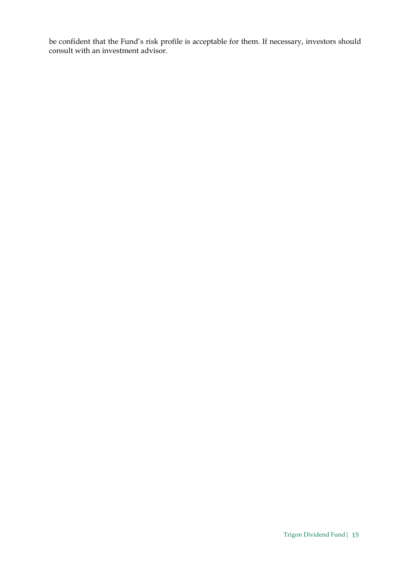be confident that the Fund's risk profile is acceptable for them. If necessary, investors should consult with an investment advisor.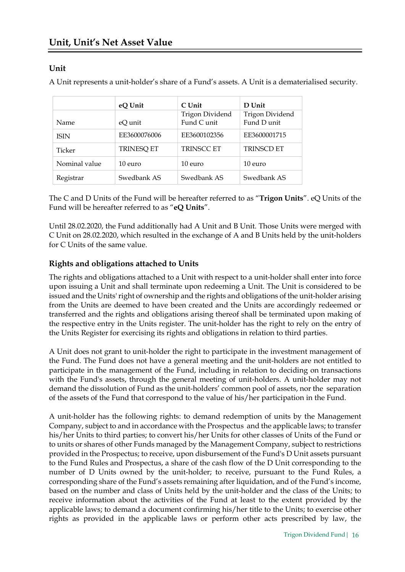## Unit

A Unit represents a unit-holder's share of a Fund's assets. A Unit is a dematerialised security.

|               | eQ Unit           | C Unit          | D Unit                 |
|---------------|-------------------|-----------------|------------------------|
|               |                   | Trigon Dividend | <b>Trigon Dividend</b> |
| Name.         | eQ unit           | Fund C unit     | Fund D unit            |
| <b>ISIN</b>   | EE3600076006      | EE3600102356    | EE3600001715           |
| Ticker        | <b>TRINESQ ET</b> | TRINSCC ET      | <b>TRINSCD ET</b>      |
| Nominal value | 10 euro           | 10 euro         | 10 euro                |
| Registrar     | Swedbank AS       | Swedbank AS     | Swedbank AS            |

The C and D Units of the Fund will be hereafter referred to as "Trigon Units". eQ Units of the Fund will be hereafter referred to as "eQ Units".

Until 28.02.2020, the Fund additionally had A Unit and B Unit. Those Units were merged with C Unit on 28.02.2020, which resulted in the exchange of A and B Units held by the unit-holders for C Units of the same value.

## Rights and obligations attached to Units

The rights and obligations attached to a Unit with respect to a unit-holder shall enter into force upon issuing a Unit and shall terminate upon redeeming a Unit. The Unit is considered to be issued and the Units' right of ownership and the rights and obligations of the unit-holder arising from the Units are deemed to have been created and the Units are accordingly redeemed or transferred and the rights and obligations arising thereof shall be terminated upon making of the respective entry in the Units register. The unit-holder has the right to rely on the entry of the Units Register for exercising its rights and obligations in relation to third parties.

A Unit does not grant to unit-holder the right to participate in the investment management of the Fund. The Fund does not have a general meeting and the unit-holders are not entitled to participate in the management of the Fund, including in relation to deciding on transactions with the Fund's assets, through the general meeting of unit-holders. A unit-holder may not demand the dissolution of Fund as the unit-holders' common pool of assets, nor the separation of the assets of the Fund that correspond to the value of his/her participation in the Fund.

A unit-holder has the following rights: to demand redemption of units by the Management Company, subject to and in accordance with the Prospectus and the applicable laws; to transfer his/her Units to third parties; to convert his/her Units for other classes of Units of the Fund or to units or shares of other Funds managed by the Management Company, subject to restrictions provided in the Prospectus; to receive, upon disbursement of the Fund's D Unit assets pursuant to the Fund Rules and Prospectus, a share of the cash flow of the D Unit corresponding to the number of D Units owned by the unit-holder; to receive, pursuant to the Fund Rules, a corresponding share of the Fund's assets remaining after liquidation, and of the Fund's income, based on the number and class of Units held by the unit-holder and the class of the Units; to receive information about the activities of the Fund at least to the extent provided by the applicable laws; to demand a document confirming his/her title to the Units; to exercise other rights as provided in the applicable laws or perform other acts prescribed by law, the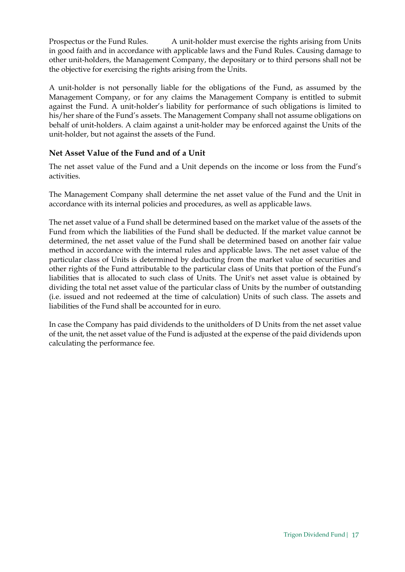Prospectus or the Fund Rules. A unit-holder must exercise the rights arising from Units in good faith and in accordance with applicable laws and the Fund Rules. Causing damage to other unit-holders, the Management Company, the depositary or to third persons shall not be the objective for exercising the rights arising from the Units.

A unit-holder is not personally liable for the obligations of the Fund, as assumed by the Management Company, or for any claims the Management Company is entitled to submit against the Fund. A unit-holder's liability for performance of such obligations is limited to his/her share of the Fund's assets. The Management Company shall not assume obligations on behalf of unit-holders. A claim against a unit-holder may be enforced against the Units of the unit-holder, but not against the assets of the Fund.

#### Net Asset Value of the Fund and of a Unit

The net asset value of the Fund and a Unit depends on the income or loss from the Fund's activities.

The Management Company shall determine the net asset value of the Fund and the Unit in accordance with its internal policies and procedures, as well as applicable laws.

The net asset value of a Fund shall be determined based on the market value of the assets of the Fund from which the liabilities of the Fund shall be deducted. If the market value cannot be determined, the net asset value of the Fund shall be determined based on another fair value method in accordance with the internal rules and applicable laws. The net asset value of the particular class of Units is determined by deducting from the market value of securities and other rights of the Fund attributable to the particular class of Units that portion of the Fund's liabilities that is allocated to such class of Units. The Unit's net asset value is obtained by dividing the total net asset value of the particular class of Units by the number of outstanding (i.e. issued and not redeemed at the time of calculation) Units of such class. The assets and liabilities of the Fund shall be accounted for in euro.

In case the Company has paid dividends to the unitholders of D Units from the net asset value of the unit, the net asset value of the Fund is adjusted at the expense of the paid dividends upon calculating the performance fee.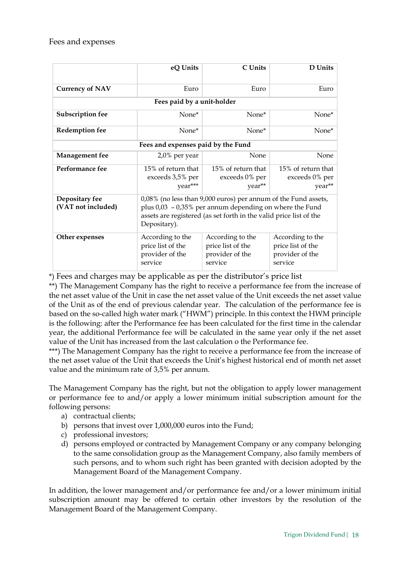#### Fees and expenses

|                                      | eQ Units                                                                                                                                                                                                           | C Units                                                             | D Units                                                             |  |
|--------------------------------------|--------------------------------------------------------------------------------------------------------------------------------------------------------------------------------------------------------------------|---------------------------------------------------------------------|---------------------------------------------------------------------|--|
| <b>Currency of NAV</b>               | Euro                                                                                                                                                                                                               | Euro                                                                | Euro                                                                |  |
|                                      | Fees paid by a unit-holder                                                                                                                                                                                         |                                                                     |                                                                     |  |
| Subscription fee                     | None*                                                                                                                                                                                                              | None*                                                               | None*                                                               |  |
| <b>Redemption fee</b>                | None*                                                                                                                                                                                                              | $None*$                                                             | None*                                                               |  |
| Fees and expenses paid by the Fund   |                                                                                                                                                                                                                    |                                                                     |                                                                     |  |
| <b>Management</b> fee                | $2.0\%$ per year                                                                                                                                                                                                   | None                                                                | None                                                                |  |
| Performance fee                      | 15% of return that<br>exceeds 3,5% per<br>year***                                                                                                                                                                  | 15% of return that<br>exceeds 0% per<br>year**                      | 15% of return that<br>exceeds 0% per<br>year**                      |  |
| Depositary fee<br>(VAT not included) | 0,08% (no less than 9,000 euros) per annum of the Fund assets,<br>plus $0.03 - 0.35\%$ per annum depending on where the Fund<br>assets are registered (as set forth in the valid price list of the<br>Depositary). |                                                                     |                                                                     |  |
| Other expenses                       | According to the<br>price list of the<br>provider of the<br>service                                                                                                                                                | According to the<br>price list of the<br>provider of the<br>service | According to the<br>price list of the<br>provider of the<br>service |  |

\*) Fees and charges may be applicable as per the distributor's price list

\*\*) The Management Company has the right to receive a performance fee from the increase of the net asset value of the Unit in case the net asset value of the Unit exceeds the net asset value of the Unit as of the end of previous calendar year. The calculation of the performance fee is based on the so-called high water mark ("HWM") principle. In this context the HWM principle is the following: after the Performance fee has been calculated for the first time in the calendar year, the additional Performance fee will be calculated in the same year only if the net asset value of the Unit has increased from the last calculation o the Performance fee.

\*\*\*) The Management Company has the right to receive a performance fee from the increase of the net asset value of the Unit that exceeds the Unit's highest historical end of month net asset value and the minimum rate of 3,5% per annum.

The Management Company has the right, but not the obligation to apply lower management or performance fee to and/or apply a lower minimum initial subscription amount for the following persons:

- a) contractual clients;
- b) persons that invest over 1,000,000 euros into the Fund;
- c) professional investors;
- d) persons employed or contracted by Management Company or any company belonging to the same consolidation group as the Management Company, also family members of such persons, and to whom such right has been granted with decision adopted by the Management Board of the Management Company.

In addition, the lower management and/or performance fee and/or a lower minimum initial subscription amount may be offered to certain other investors by the resolution of the Management Board of the Management Company.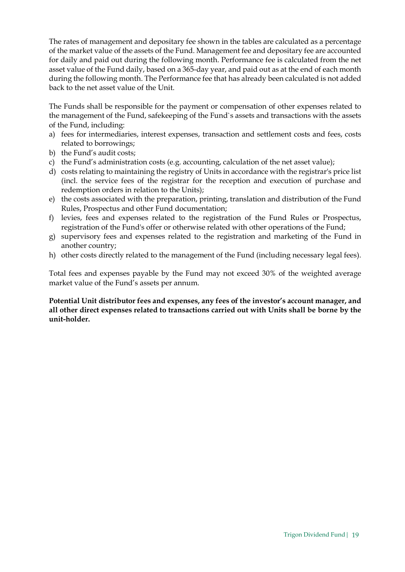The rates of management and depositary fee shown in the tables are calculated as a percentage of the market value of the assets of the Fund. Management fee and depositary fee are accounted for daily and paid out during the following month. Performance fee is calculated from the net asset value of the Fund daily, based on a 365-day year, and paid out as at the end of each month during the following month. The Performance fee that has already been calculated is not added back to the net asset value of the Unit.

The Funds shall be responsible for the payment or compensation of other expenses related to the management of the Fund, safekeeping of the Fund`s assets and transactions with the assets of the Fund, including:

- a) fees for intermediaries, interest expenses, transaction and settlement costs and fees, costs related to borrowings;
- b) the Fund's audit costs;
- c) the Fund's administration costs (e.g. accounting, calculation of the net asset value);
- d) costs relating to maintaining the registry of Units in accordance with the registrar's price list (incl. the service fees of the registrar for the reception and execution of purchase and redemption orders in relation to the Units);
- e) the costs associated with the preparation, printing, translation and distribution of the Fund Rules, Prospectus and other Fund documentation;
- f) levies, fees and expenses related to the registration of the Fund Rules or Prospectus, registration of the Fund's offer or otherwise related with other operations of the Fund;
- g) supervisory fees and expenses related to the registration and marketing of the Fund in another country;
- h) other costs directly related to the management of the Fund (including necessary legal fees).

Total fees and expenses payable by the Fund may not exceed 30% of the weighted average market value of the Fund's assets per annum.

Potential Unit distributor fees and expenses, any fees of the investor's account manager, and all other direct expenses related to transactions carried out with Units shall be borne by the unit-holder.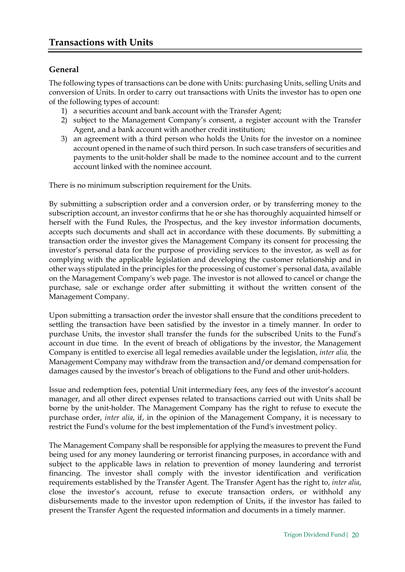### General

The following types of transactions can be done with Units: purchasing Units, selling Units and conversion of Units. In order to carry out transactions with Units the investor has to open one of the following types of account:

- 1) a securities account and bank account with the Transfer Agent;
- 2) subject to the Management Company's consent, a register account with the Transfer Agent, and a bank account with another credit institution;
- 3) an agreement with a third person who holds the Units for the investor on a nominee account opened in the name of such third person. In such case transfers of securities and payments to the unit-holder shall be made to the nominee account and to the current account linked with the nominee account.

There is no minimum subscription requirement for the Units.

By submitting a subscription order and a conversion order, or by transferring money to the subscription account, an investor confirms that he or she has thoroughly acquainted himself or herself with the Fund Rules, the Prospectus, and the key investor information documents, accepts such documents and shall act in accordance with these documents. By submitting a transaction order the investor gives the Management Company its consent for processing the investor's personal data for the purpose of providing services to the investor, as well as for complying with the applicable legislation and developing the customer relationship and in other ways stipulated in the principles for the processing of customer`s personal data, available on the Management Company's web page. The investor is not allowed to cancel or change the purchase, sale or exchange order after submitting it without the written consent of the Management Company.

Upon submitting a transaction order the investor shall ensure that the conditions precedent to settling the transaction have been satisfied by the investor in a timely manner. In order to purchase Units, the investor shall transfer the funds for the subscribed Units to the Fund's account in due time. In the event of breach of obligations by the investor, the Management Company is entitled to exercise all legal remedies available under the legislation, inter alia, the Management Company may withdraw from the transaction and/or demand compensation for damages caused by the investor's breach of obligations to the Fund and other unit-holders.

Issue and redemption fees, potential Unit intermediary fees, any fees of the investor's account manager, and all other direct expenses related to transactions carried out with Units shall be borne by the unit-holder. The Management Company has the right to refuse to execute the purchase order, inter alia, if, in the opinion of the Management Company, it is necessary to restrict the Fund's volume for the best implementation of the Fund's investment policy.

The Management Company shall be responsible for applying the measures to prevent the Fund being used for any money laundering or terrorist financing purposes, in accordance with and subject to the applicable laws in relation to prevention of money laundering and terrorist financing. The investor shall comply with the investor identification and verification requirements established by the Transfer Agent. The Transfer Agent has the right to, inter alia, close the investor's account, refuse to execute transaction orders, or withhold any disbursements made to the investor upon redemption of Units, if the investor has failed to present the Transfer Agent the requested information and documents in a timely manner.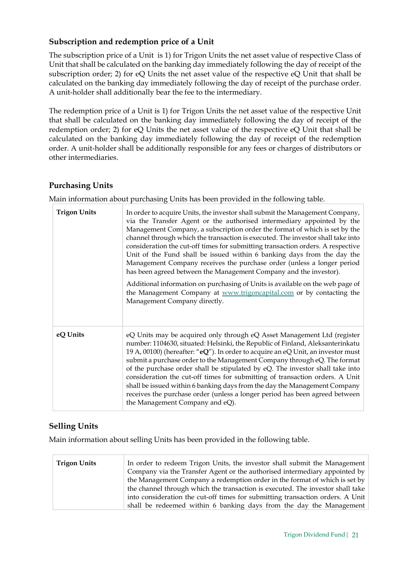## Subscription and redemption price of a Unit

The subscription price of a Unit is 1) for Trigon Units the net asset value of respective Class of Unit that shall be calculated on the banking day immediately following the day of receipt of the subscription order; 2) for eQ Units the net asset value of the respective eQ Unit that shall be calculated on the banking day immediately following the day of receipt of the purchase order. A unit-holder shall additionally bear the fee to the intermediary.

The redemption price of a Unit is 1) for Trigon Units the net asset value of the respective Unit that shall be calculated on the banking day immediately following the day of receipt of the redemption order; 2) for eQ Units the net asset value of the respective eQ Unit that shall be calculated on the banking day immediately following the day of receipt of the redemption order. A unit-holder shall be additionally responsible for any fees or charges of distributors or other intermediaries.

#### Purchasing Units

Main information about purchasing Units has been provided in the following table.

| <b>Trigon Units</b> | In order to acquire Units, the investor shall submit the Management Company,<br>via the Transfer Agent or the authorised intermediary appointed by the<br>Management Company, a subscription order the format of which is set by the<br>channel through which the transaction is executed. The investor shall take into<br>consideration the cut-off times for submitting transaction orders. A respective<br>Unit of the Fund shall be issued within 6 banking days from the day the<br>Management Company receives the purchase order (unless a longer period<br>has been agreed between the Management Company and the investor).<br>Additional information on purchasing of Units is available on the web page of<br>the Management Company at www.trigoncapital.com or by contacting the<br>Management Company directly. |
|---------------------|-------------------------------------------------------------------------------------------------------------------------------------------------------------------------------------------------------------------------------------------------------------------------------------------------------------------------------------------------------------------------------------------------------------------------------------------------------------------------------------------------------------------------------------------------------------------------------------------------------------------------------------------------------------------------------------------------------------------------------------------------------------------------------------------------------------------------------|
| eQ Units            | eQ Units may be acquired only through eQ Asset Management Ltd (register<br>number: 1104630, situated: Helsinki, the Republic of Finland, Aleksanterinkatu<br>19 A, 00100) (hereafter: "eQ"). In order to acquire an eQ Unit, an investor must<br>submit a purchase order to the Management Company through eQ. The format<br>of the purchase order shall be stipulated by eQ. The investor shall take into<br>consideration the cut-off times for submitting of transaction orders. A Unit<br>shall be issued within 6 banking days from the day the Management Company<br>receives the purchase order (unless a longer period has been agreed between<br>the Management Company and eQ).                                                                                                                                     |

#### Selling Units

Main information about selling Units has been provided in the following table.

| <b>Trigon Units</b> | In order to redeem Trigon Units, the investor shall submit the Management      |
|---------------------|--------------------------------------------------------------------------------|
|                     | Company via the Transfer Agent or the authorised intermediary appointed by     |
|                     | the Management Company a redemption order in the format of which is set by     |
|                     | the channel through which the transaction is executed. The investor shall take |
|                     | into consideration the cut-off times for submitting transaction orders. A Unit |
|                     | shall be redeemed within 6 banking days from the day the Management            |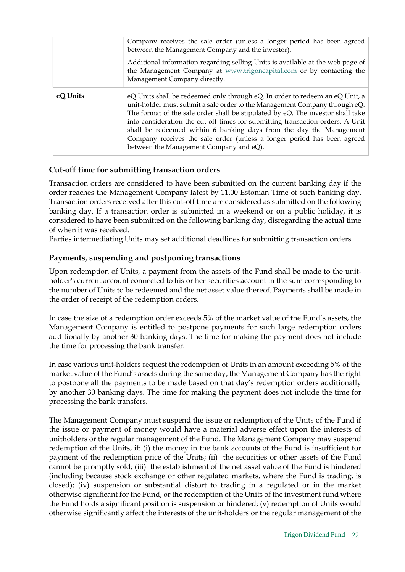|          | Company receives the sale order (unless a longer period has been agreed<br>between the Management Company and the investor).<br>Additional information regarding selling Units is available at the web page of<br>the Management Company at www.trigoncapital.com or by contacting the<br>Management Company directly.                                                                                                                                                                                                       |
|----------|------------------------------------------------------------------------------------------------------------------------------------------------------------------------------------------------------------------------------------------------------------------------------------------------------------------------------------------------------------------------------------------------------------------------------------------------------------------------------------------------------------------------------|
| eQ Units | eQ Units shall be redeemed only through eQ. In order to redeem an eQ Unit, a<br>unit-holder must submit a sale order to the Management Company through eQ.<br>The format of the sale order shall be stipulated by eQ. The investor shall take<br>into consideration the cut-off times for submitting transaction orders. A Unit<br>shall be redeemed within 6 banking days from the day the Management<br>Company receives the sale order (unless a longer period has been agreed<br>between the Management Company and eQ). |

#### Cut-off time for submitting transaction orders

Transaction orders are considered to have been submitted on the current banking day if the order reaches the Management Company latest by 11.00 Estonian Time of such banking day. Transaction orders received after this cut-off time are considered as submitted on the following banking day. If a transaction order is submitted in a weekend or on a public holiday, it is considered to have been submitted on the following banking day, disregarding the actual time of when it was received.

Parties intermediating Units may set additional deadlines for submitting transaction orders.

#### Payments, suspending and postponing transactions

Upon redemption of Units, a payment from the assets of the Fund shall be made to the unitholder's current account connected to his or her securities account in the sum corresponding to the number of Units to be redeemed and the net asset value thereof. Payments shall be made in the order of receipt of the redemption orders.

In case the size of a redemption order exceeds 5% of the market value of the Fund's assets, the Management Company is entitled to postpone payments for such large redemption orders additionally by another 30 banking days. The time for making the payment does not include the time for processing the bank transfer.

In case various unit-holders request the redemption of Units in an amount exceeding 5% of the market value of the Fund's assets during the same day, the Management Company has the right to postpone all the payments to be made based on that day's redemption orders additionally by another 30 banking days. The time for making the payment does not include the time for processing the bank transfers.

The Management Company must suspend the issue or redemption of the Units of the Fund if the issue or payment of money would have a material adverse effect upon the interests of unitholders or the regular management of the Fund. The Management Company may suspend redemption of the Units, if: (i) the money in the bank accounts of the Fund is insufficient for payment of the redemption price of the Units; (ii) the securities or other assets of the Fund cannot be promptly sold; (iii) the establishment of the net asset value of the Fund is hindered (including because stock exchange or other regulated markets, where the Fund is trading, is closed); (iv) suspension or substantial distort to trading in a regulated or in the market otherwise significant for the Fund, or the redemption of the Units of the investment fund where the Fund holds a significant position is suspension or hindered; (v) redemption of Units would otherwise significantly affect the interests of the unit-holders or the regular management of the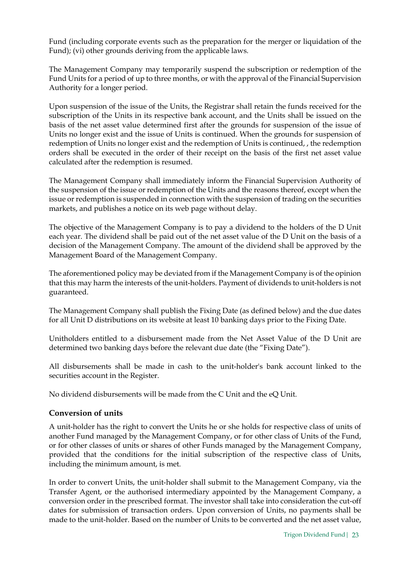Fund (including corporate events such as the preparation for the merger or liquidation of the Fund); (vi) other grounds deriving from the applicable laws.

The Management Company may temporarily suspend the subscription or redemption of the Fund Units for a period of up to three months, or with the approval of the Financial Supervision Authority for a longer period.

Upon suspension of the issue of the Units, the Registrar shall retain the funds received for the subscription of the Units in its respective bank account, and the Units shall be issued on the basis of the net asset value determined first after the grounds for suspension of the issue of Units no longer exist and the issue of Units is continued. When the grounds for suspension of redemption of Units no longer exist and the redemption of Units is continued, , the redemption orders shall be executed in the order of their receipt on the basis of the first net asset value calculated after the redemption is resumed.

The Management Company shall immediately inform the Financial Supervision Authority of the suspension of the issue or redemption of the Units and the reasons thereof, except when the issue or redemption is suspended in connection with the suspension of trading on the securities markets, and publishes a notice on its web page without delay.

The objective of the Management Company is to pay a dividend to the holders of the D Unit each year. The dividend shall be paid out of the net asset value of the D Unit on the basis of a decision of the Management Company. The amount of the dividend shall be approved by the Management Board of the Management Company.

The aforementioned policy may be deviated from if the Management Company is of the opinion that this may harm the interests of the unit-holders. Payment of dividends to unit-holders is not guaranteed.

The Management Company shall publish the Fixing Date (as defined below) and the due dates for all Unit D distributions on its website at least 10 banking days prior to the Fixing Date.

Unitholders entitled to a disbursement made from the Net Asset Value of the D Unit are determined two banking days before the relevant due date (the "Fixing Date").

All disbursements shall be made in cash to the unit-holder's bank account linked to the securities account in the Register.

No dividend disbursements will be made from the C Unit and the eQ Unit.

#### Conversion of units

A unit-holder has the right to convert the Units he or she holds for respective class of units of another Fund managed by the Management Company, or for other class of Units of the Fund, or for other classes of units or shares of other Funds managed by the Management Company, provided that the conditions for the initial subscription of the respective class of Units, including the minimum amount, is met.

In order to convert Units, the unit-holder shall submit to the Management Company, via the Transfer Agent, or the authorised intermediary appointed by the Management Company, a conversion order in the prescribed format. The investor shall take into consideration the cut-off dates for submission of transaction orders. Upon conversion of Units, no payments shall be made to the unit-holder. Based on the number of Units to be converted and the net asset value,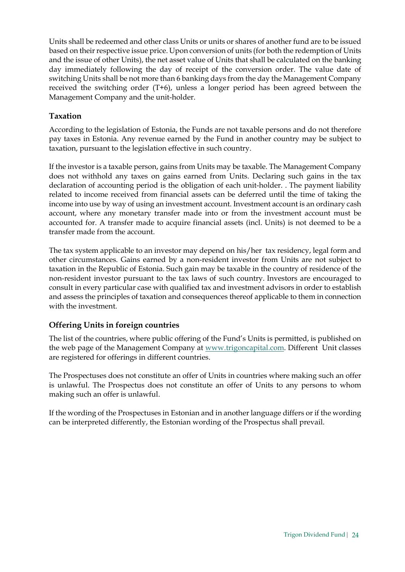Units shall be redeemed and other class Units or units or shares of another fund are to be issued based on their respective issue price. Upon conversion of units (for both the redemption of Units and the issue of other Units), the net asset value of Units that shall be calculated on the banking day immediately following the day of receipt of the conversion order. The value date of switching Units shall be not more than 6 banking days from the day the Management Company received the switching order (T+6), unless a longer period has been agreed between the Management Company and the unit-holder.

#### Taxation

According to the legislation of Estonia, the Funds are not taxable persons and do not therefore pay taxes in Estonia. Any revenue earned by the Fund in another country may be subject to taxation, pursuant to the legislation effective in such country.

If the investor is a taxable person, gains from Units may be taxable. The Management Company does not withhold any taxes on gains earned from Units. Declaring such gains in the tax declaration of accounting period is the obligation of each unit-holder. . The payment liability related to income received from financial assets can be deferred until the time of taking the income into use by way of using an investment account. Investment account is an ordinary cash account, where any monetary transfer made into or from the investment account must be accounted for. A transfer made to acquire financial assets (incl. Units) is not deemed to be a transfer made from the account.

The tax system applicable to an investor may depend on his/her tax residency, legal form and other circumstances. Gains earned by a non-resident investor from Units are not subject to taxation in the Republic of Estonia. Such gain may be taxable in the country of residence of the non-resident investor pursuant to the tax laws of such country. Investors are encouraged to consult in every particular case with qualified tax and investment advisors in order to establish and assess the principles of taxation and consequences thereof applicable to them in connection with the investment.

#### Offering Units in foreign countries

The list of the countries, where public offering of the Fund's Units is permitted, is published on the web page of the Management Company at www.trigoncapital.com. Different Unit classes are registered for offerings in different countries.

The Prospectuses does not constitute an offer of Units in countries where making such an offer is unlawful. The Prospectus does not constitute an offer of Units to any persons to whom making such an offer is unlawful.

If the wording of the Prospectuses in Estonian and in another language differs or if the wording can be interpreted differently, the Estonian wording of the Prospectus shall prevail.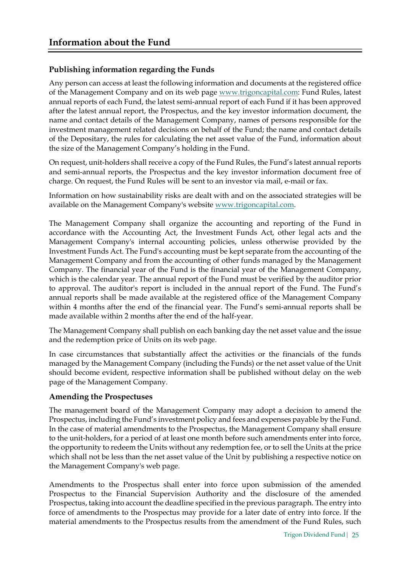## Publishing information regarding the Funds

Any person can access at least the following information and documents at the registered office of the Management Company and on its web page www.trigoncapital.com: Fund Rules, latest annual reports of each Fund, the latest semi-annual report of each Fund if it has been approved after the latest annual report, the Prospectus, and the key investor information document, the name and contact details of the Management Company, names of persons responsible for the investment management related decisions on behalf of the Fund; the name and contact details of the Depositary, the rules for calculating the net asset value of the Fund, information about the size of the Management Company's holding in the Fund.

On request, unit-holders shall receive a copy of the Fund Rules, the Fund's latest annual reports and semi-annual reports, the Prospectus and the key investor information document free of charge. On request, the Fund Rules will be sent to an investor via mail, e-mail or fax.

Information on how sustainability risks are dealt with and on the associated strategies will be available on the Management Company's website www.trigoncapital.com.

The Management Company shall organize the accounting and reporting of the Fund in accordance with the Accounting Act, the Investment Funds Act, other legal acts and the Management Company's internal accounting policies, unless otherwise provided by the Investment Funds Act. The Fund's accounting must be kept separate from the accounting of the Management Company and from the accounting of other funds managed by the Management Company. The financial year of the Fund is the financial year of the Management Company, which is the calendar year. The annual report of the Fund must be verified by the auditor prior to approval. The auditor's report is included in the annual report of the Fund. The Fund's annual reports shall be made available at the registered office of the Management Company within 4 months after the end of the financial year. The Fund's semi-annual reports shall be made available within 2 months after the end of the half-year.

The Management Company shall publish on each banking day the net asset value and the issue and the redemption price of Units on its web page.

In case circumstances that substantially affect the activities or the financials of the funds managed by the Management Company (including the Funds) or the net asset value of the Unit should become evident, respective information shall be published without delay on the web page of the Management Company.

#### Amending the Prospectuses

The management board of the Management Company may adopt a decision to amend the Prospectus, including the Fund's investment policy and fees and expenses payable by the Fund. In the case of material amendments to the Prospectus, the Management Company shall ensure to the unit-holders, for a period of at least one month before such amendments enter into force, the opportunity to redeem the Units without any redemption fee, or to sell the Units at the price which shall not be less than the net asset value of the Unit by publishing a respective notice on the Management Company's web page.

Amendments to the Prospectus shall enter into force upon submission of the amended Prospectus to the Financial Supervision Authority and the disclosure of the amended Prospectus, taking into account the deadline specified in the previous paragraph. The entry into force of amendments to the Prospectus may provide for a later date of entry into force. If the material amendments to the Prospectus results from the amendment of the Fund Rules, such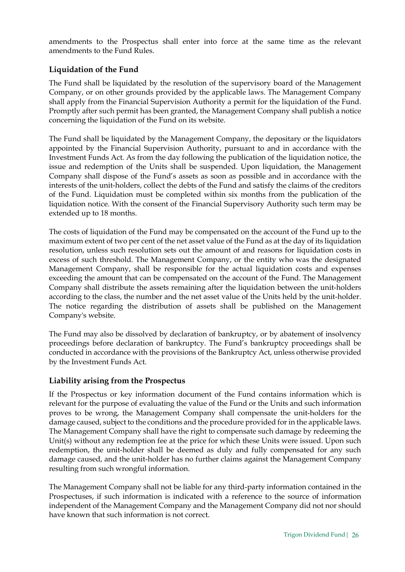amendments to the Prospectus shall enter into force at the same time as the relevant amendments to the Fund Rules.

#### Liquidation of the Fund

The Fund shall be liquidated by the resolution of the supervisory board of the Management Company, or on other grounds provided by the applicable laws. The Management Company shall apply from the Financial Supervision Authority a permit for the liquidation of the Fund. Promptly after such permit has been granted, the Management Company shall publish a notice concerning the liquidation of the Fund on its website.

The Fund shall be liquidated by the Management Company, the depositary or the liquidators appointed by the Financial Supervision Authority, pursuant to and in accordance with the Investment Funds Act. As from the day following the publication of the liquidation notice, the issue and redemption of the Units shall be suspended. Upon liquidation, the Management Company shall dispose of the Fund's assets as soon as possible and in accordance with the interests of the unit-holders, collect the debts of the Fund and satisfy the claims of the creditors of the Fund. Liquidation must be completed within six months from the publication of the liquidation notice. With the consent of the Financial Supervisory Authority such term may be extended up to 18 months.

The costs of liquidation of the Fund may be compensated on the account of the Fund up to the maximum extent of two per cent of the net asset value of the Fund as at the day of its liquidation resolution, unless such resolution sets out the amount of and reasons for liquidation costs in excess of such threshold. The Management Company, or the entity who was the designated Management Company, shall be responsible for the actual liquidation costs and expenses exceeding the amount that can be compensated on the account of the Fund. The Management Company shall distribute the assets remaining after the liquidation between the unit-holders according to the class, the number and the net asset value of the Units held by the unit-holder. The notice regarding the distribution of assets shall be published on the Management Company's website.

The Fund may also be dissolved by declaration of bankruptcy, or by abatement of insolvency proceedings before declaration of bankruptcy. The Fund's bankruptcy proceedings shall be conducted in accordance with the provisions of the Bankruptcy Act, unless otherwise provided by the Investment Funds Act.

#### Liability arising from the Prospectus

If the Prospectus or key information document of the Fund contains information which is relevant for the purpose of evaluating the value of the Fund or the Units and such information proves to be wrong, the Management Company shall compensate the unit-holders for the damage caused, subject to the conditions and the procedure provided for in the applicable laws. The Management Company shall have the right to compensate such damage by redeeming the Unit(s) without any redemption fee at the price for which these Units were issued. Upon such redemption, the unit-holder shall be deemed as duly and fully compensated for any such damage caused, and the unit-holder has no further claims against the Management Company resulting from such wrongful information.

The Management Company shall not be liable for any third-party information contained in the Prospectuses, if such information is indicated with a reference to the source of information independent of the Management Company and the Management Company did not nor should have known that such information is not correct.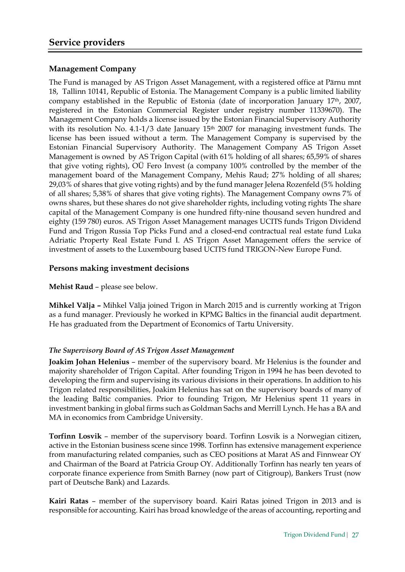### Management Company

The Fund is managed by AS Trigon Asset Management, with a registered office at Pärnu mnt 18, Tallinn 10141, Republic of Estonia. The Management Company is a public limited liability company established in the Republic of Estonia (date of incorporation January 17th, 2007, registered in the Estonian Commercial Register under registry number 11339670). The Management Company holds a license issued by the Estonian Financial Supervisory Authority with its resolution No.  $4.1$ -1/3 date January  $15<sup>th</sup>$  2007 for managing investment funds. The license has been issued without a term. The Management Company is supervised by the Estonian Financial Supervisory Authority. The Management Company AS Trigon Asset Management is owned by AS Trigon Capital (with 61% holding of all shares; 65,59% of shares that give voting rights), OÜ Fero Invest (a company 100% controlled by the member of the management board of the Management Company, Mehis Raud; 27% holding of all shares; 29,03% of shares that give voting rights) and by the fund manager Jelena Rozenfeld (5% holding of all shares; 5,38% of shares that give voting rights). The Management Company owns 7% of owns shares, but these shares do not give shareholder rights, including voting rights The share capital of the Management Company is one hundred fifty-nine thousand seven hundred and eighty (159 780) euros. AS Trigon Asset Management manages UCITS funds Trigon Dividend Fund and Trigon Russia Top Picks Fund and a closed-end contractual real estate fund Luka Adriatic Property Real Estate Fund I. AS Trigon Asset Management offers the service of investment of assets to the Luxembourg based UCITS fund TRIGON-New Europe Fund.

#### Persons making investment decisions

Mehist Raud – please see below.

Mihkel Välja – Mihkel Välja joined Trigon in March 2015 and is currently working at Trigon as a fund manager. Previously he worked in KPMG Baltics in the financial audit department. He has graduated from the Department of Economics of Tartu University.

#### The Supervisory Board of AS Trigon Asset Management

Joakim Johan Helenius – member of the supervisory board. Mr Helenius is the founder and majority shareholder of Trigon Capital. After founding Trigon in 1994 he has been devoted to developing the firm and supervising its various divisions in their operations. In addition to his Trigon related responsibilities, Joakim Helenius has sat on the supervisory boards of many of the leading Baltic companies. Prior to founding Trigon, Mr Helenius spent 11 years in investment banking in global firms such as Goldman Sachs and Merrill Lynch. He has a BA and MA in economics from Cambridge University.

Torfinn Losvik – member of the supervisory board. Torfinn Losvik is a Norwegian citizen, active in the Estonian business scene since 1998. Torfinn has extensive management experience from manufacturing related companies, such as CEO positions at Marat AS and Finnwear OY and Chairman of the Board at Patricia Group OY. Additionally Torfinn has nearly ten years of corporate finance experience from Smith Barney (now part of Citigroup), Bankers Trust (now part of Deutsche Bank) and Lazards.

Kairi Ratas – member of the supervisory board. Kairi Ratas joined Trigon in 2013 and is responsible for accounting. Kairi has broad knowledge of the areas of accounting, reporting and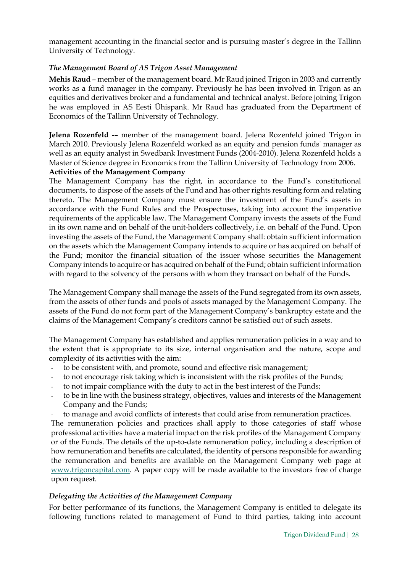management accounting in the financial sector and is pursuing master's degree in the Tallinn University of Technology.

#### The Management Board of AS Trigon Asset Management

Mehis Raud – member of the management board. Mr Raud joined Trigon in 2003 and currently works as a fund manager in the company. Previously he has been involved in Trigon as an equities and derivatives broker and a fundamental and technical analyst. Before joining Trigon he was employed in AS Eesti Ühispank. Mr Raud has graduated from the Department of Economics of the Tallinn University of Technology.

Jelena Rozenfeld -– member of the management board. Jelena Rozenfeld joined Trigon in March 2010. Previously Jelena Rozenfeld worked as an equity and pension funds' manager as well as an equity analyst in Swedbank Investment Funds (2004-2010). Jelena Rozenfeld holds a Master of Science degree in Economics from the Tallinn University of Technology from 2006.

#### Activities of the Management Company

The Management Company has the right, in accordance to the Fund's constitutional documents, to dispose of the assets of the Fund and has other rights resulting form and relating thereto. The Management Company must ensure the investment of the Fund's assets in accordance with the Fund Rules and the Prospectuses, taking into account the imperative requirements of the applicable law. The Management Company invests the assets of the Fund in its own name and on behalf of the unit-holders collectively, i.e. on behalf of the Fund. Upon investing the assets of the Fund, the Management Company shall: obtain sufficient information on the assets which the Management Company intends to acquire or has acquired on behalf of the Fund; monitor the financial situation of the issuer whose securities the Management Company intends to acquire or has acquired on behalf of the Fund; obtain sufficient information with regard to the solvency of the persons with whom they transact on behalf of the Funds.

The Management Company shall manage the assets of the Fund segregated from its own assets, from the assets of other funds and pools of assets managed by the Management Company. The assets of the Fund do not form part of the Management Company's bankruptcy estate and the claims of the Management Company's creditors cannot be satisfied out of such assets.

The Management Company has established and applies remuneration policies in a way and to the extent that is appropriate to its size, internal organisation and the nature, scope and complexity of its activities with the aim:

- to be consistent with, and promote, sound and effective risk management;
- to not encourage risk taking which is inconsistent with the risk profiles of the Funds;
- to not impair compliance with the duty to act in the best interest of the Funds;
- to be in line with the business strategy, objectives, values and interests of the Management Company and the Funds;
- to manage and avoid conflicts of interests that could arise from remuneration practices.

The remuneration policies and practices shall apply to those categories of staff whose professional activities have a material impact on the risk profiles of the Management Company or of the Funds. The details of the up-to-date remuneration policy, including a description of how remuneration and benefits are calculated, the identity of persons responsible for awarding the remuneration and benefits are available on the Management Company web page at www.trigoncapital.com. A paper copy will be made available to the investors free of charge upon request.

#### Delegating the Activities of the Management Company

For better performance of its functions, the Management Company is entitled to delegate its following functions related to management of Fund to third parties, taking into account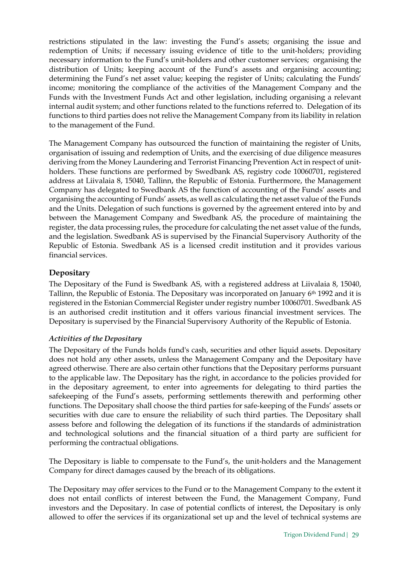restrictions stipulated in the law: investing the Fund's assets; organising the issue and redemption of Units; if necessary issuing evidence of title to the unit-holders; providing necessary information to the Fund's unit-holders and other customer services; organising the distribution of Units; keeping account of the Fund's assets and organising accounting; determining the Fund's net asset value; keeping the register of Units; calculating the Funds' income; monitoring the compliance of the activities of the Management Company and the Funds with the Investment Funds Act and other legislation, including organising a relevant internal audit system; and other functions related to the functions referred to. Delegation of its functions to third parties does not relive the Management Company from its liability in relation to the management of the Fund.

The Management Company has outsourced the function of maintaining the register of Units, organisation of issuing and redemption of Units, and the exercising of due diligence measures deriving from the Money Laundering and Terrorist Financing Prevention Act in respect of unitholders. These functions are performed by Swedbank AS, registry code 10060701, registered address at Liivalaia 8, 15040, Tallinn, the Republic of Estonia. Furthermore, the Management Company has delegated to Swedbank AS the function of accounting of the Funds' assets and organising the accounting of Funds' assets, as well as calculating the net asset value of the Funds and the Units. Delegation of such functions is governed by the agreement entered into by and between the Management Company and Swedbank AS, the procedure of maintaining the register, the data processing rules, the procedure for calculating the net asset value of the funds, and the legislation. Swedbank AS is supervised by the Financial Supervisory Authority of the Republic of Estonia. Swedbank AS is a licensed credit institution and it provides various financial services.

## **Depositary**

The Depositary of the Fund is Swedbank AS, with a registered address at Liivalaia 8, 15040, Tallinn, the Republic of Estonia. The Depositary was incorporated on January 6th 1992 and it is registered in the Estonian Commercial Register under registry number 10060701. Swedbank AS is an authorised credit institution and it offers various financial investment services. The Depositary is supervised by the Financial Supervisory Authority of the Republic of Estonia.

#### Activities of the Depositary

The Depositary of the Funds holds fund's cash, securities and other liquid assets. Depositary does not hold any other assets, unless the Management Company and the Depositary have agreed otherwise. There are also certain other functions that the Depositary performs pursuant to the applicable law. The Depositary has the right, in accordance to the policies provided for in the depositary agreement, to enter into agreements for delegating to third parties the safekeeping of the Fund's assets, performing settlements therewith and performing other functions. The Depositary shall choose the third parties for safe-keeping of the Funds' assets or securities with due care to ensure the reliability of such third parties. The Depositary shall assess before and following the delegation of its functions if the standards of administration and technological solutions and the financial situation of a third party are sufficient for performing the contractual obligations.

The Depositary is liable to compensate to the Fund's, the unit-holders and the Management Company for direct damages caused by the breach of its obligations.

The Depositary may offer services to the Fund or to the Management Company to the extent it does not entail conflicts of interest between the Fund, the Management Company, Fund investors and the Depositary. In case of potential conflicts of interest, the Depositary is only allowed to offer the services if its organizational set up and the level of technical systems are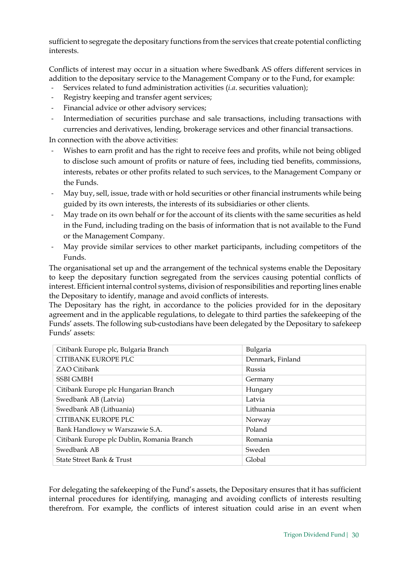sufficient to segregate the depositary functions from the services that create potential conflicting interests.

Conflicts of interest may occur in a situation where Swedbank AS offers different services in addition to the depositary service to the Management Company or to the Fund, for example:

- Services related to fund administration activities (*i.a.* securities valuation);
- Registry keeping and transfer agent services;
- Financial advice or other advisory services;
- Intermediation of securities purchase and sale transactions, including transactions with currencies and derivatives, lending, brokerage services and other financial transactions.

In connection with the above activities:

- Wishes to earn profit and has the right to receive fees and profits, while not being obliged to disclose such amount of profits or nature of fees, including tied benefits, commissions, interests, rebates or other profits related to such services, to the Management Company or the Funds.
- May buy, sell, issue, trade with or hold securities or other financial instruments while being guided by its own interests, the interests of its subsidiaries or other clients.
- May trade on its own behalf or for the account of its clients with the same securities as held in the Fund, including trading on the basis of information that is not available to the Fund or the Management Company.
- May provide similar services to other market participants, including competitors of the Funds.

The organisational set up and the arrangement of the technical systems enable the Depositary to keep the depositary function segregated from the services causing potential conflicts of interest. Efficient internal control systems, division of responsibilities and reporting lines enable the Depositary to identify, manage and avoid conflicts of interests.

The Depositary has the right, in accordance to the policies provided for in the depositary agreement and in the applicable regulations, to delegate to third parties the safekeeping of the Funds' assets. The following sub-custodians have been delegated by the Depositary to safekeep Funds' assets:

| Citibank Europe plc, Bulgaria Branch       | Bulgaria         |
|--------------------------------------------|------------------|
| CITIBANK EUROPE PLC                        | Denmark, Finland |
| <b>ZAO Citibank</b>                        | Russia           |
| <b>SSBI GMBH</b>                           | Germany          |
| Citibank Europe plc Hungarian Branch       | Hungary          |
| Swedbank AB (Latvia)                       | Latvia           |
| Swedbank AB (Lithuania)                    | Lithuania        |
| CITIBANK EUROPE PLC                        | Norway           |
| Bank Handlowy w Warszawie S.A.             | Poland           |
| Citibank Europe plc Dublin, Romania Branch | Romania          |
| Swedbank AB                                | Sweden           |
| State Street Bank & Trust                  | Global           |

For delegating the safekeeping of the Fund's assets, the Depositary ensures that it has sufficient internal procedures for identifying, managing and avoiding conflicts of interests resulting therefrom. For example, the conflicts of interest situation could arise in an event when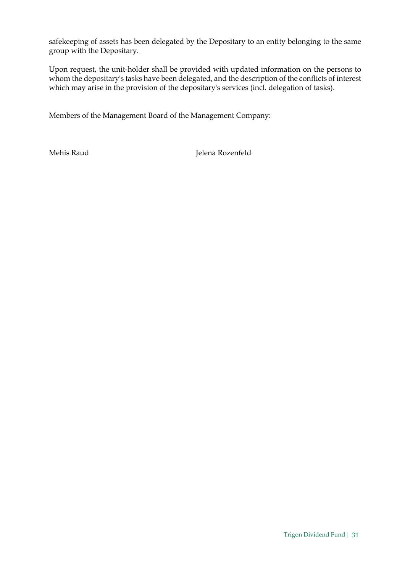safekeeping of assets has been delegated by the Depositary to an entity belonging to the same group with the Depositary.

Upon request, the unit-holder shall be provided with updated information on the persons to whom the depositary's tasks have been delegated, and the description of the conflicts of interest which may arise in the provision of the depositary's services (incl. delegation of tasks).

Members of the Management Board of the Management Company:

Mehis Raud Jelena Rozenfeld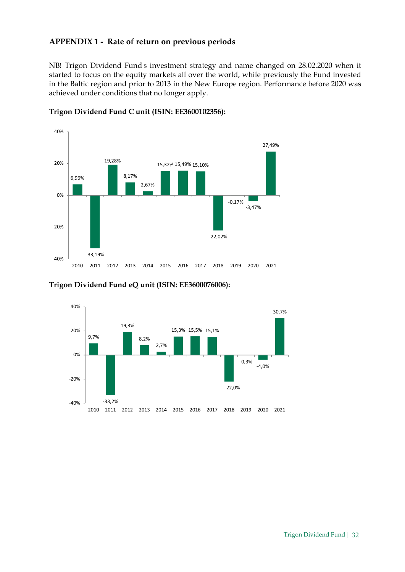### APPENDIX 1 - Rate of return on previous periods

NB! Trigon Dividend Fund's investment strategy and name changed on 28.02.2020 when it started to focus on the equity markets all over the world, while previously the Fund invested in the Baltic region and prior to 2013 in the New Europe region. Performance before 2020 was achieved under conditions that no longer apply.



#### Trigon Dividend Fund C unit (ISIN: EE3600102356):

#### Trigon Dividend Fund eQ unit (ISIN: EE3600076006):